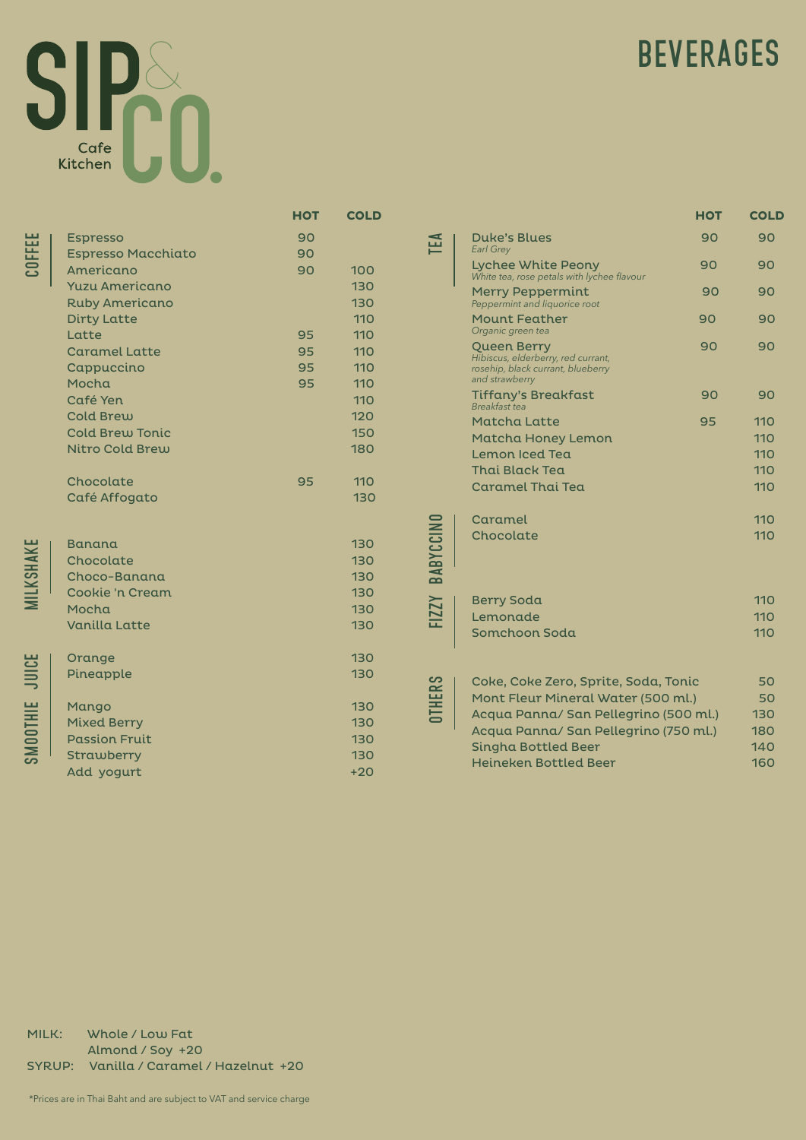

MILKSHAKE

JUICE

smoothie

## **BEVERAGES**

|                |                                                                                                                                                                                                                                                                               | <b>HOT</b>                             | <b>COLD</b>                                                                      |
|----------------|-------------------------------------------------------------------------------------------------------------------------------------------------------------------------------------------------------------------------------------------------------------------------------|----------------------------------------|----------------------------------------------------------------------------------|
|                | <b>Espresso</b><br><b>Espresso Macchiato</b><br>Americano<br><b>Yuzu Americano</b><br><b>Ruby Americano</b><br><b>Dirty Latte</b><br>Latte<br><b>Caramel Latte</b><br>Cappuccino<br>Mocha<br>Café Yen<br><b>Cold Brew</b><br><b>Cold Brew Tonic</b><br><b>Nitro Cold Brew</b> | 90<br>90<br>90<br>95<br>95<br>95<br>95 | 100<br>130<br>130<br>110<br>110<br>110<br>110<br>110<br>110<br>120<br>150<br>180 |
|                | Chocolate<br>Café Affogato                                                                                                                                                                                                                                                    | 95                                     | 110<br>130                                                                       |
|                | <b>Banana</b><br>Chocolate<br>Choco-Banana<br>Cookie 'n Cream<br>Mocha<br><b>Vanilla Latte</b>                                                                                                                                                                                |                                        | 130<br>130<br>130<br>130<br>130<br>130                                           |
|                | Orange<br>Pineapple                                                                                                                                                                                                                                                           |                                        | 130<br>130                                                                       |
| <b>ADOTHIE</b> | Mango<br><b>Mixed Berry</b><br><b>Passion Fruit</b><br>Strawberry<br>Add yogurt                                                                                                                                                                                               |                                        | 130<br>130<br>130<br>130<br>$+20$                                                |
| MILK:          | Whole / Low Fat                                                                                                                                                                                                                                                               |                                        |                                                                                  |
| <b>SYRUP:</b>  | Almond / Soy +20<br>Vanilla / Caramel / Hazelnut +20                                                                                                                                                                                                                          |                                        |                                                                                  |

|               |                                                                                                          | <b>HOT</b> | <b>COLD</b> |
|---------------|----------------------------------------------------------------------------------------------------------|------------|-------------|
| EA            | <b>Duke's Blues</b><br><b>Earl Grey</b>                                                                  | 90         | 90          |
|               | <b>Lychee White Peony</b><br>White tea, rose petals with lychee flavour                                  | 90         | 90          |
|               | <b>Merry Peppermint</b><br>Peppermint and liquorice root                                                 | 90         | 90          |
|               | <b>Mount Feather</b><br>Organic green tea                                                                | 90         | 90          |
|               | Queen Berry<br>Hibiscus, elderberry, red currant,<br>rosehip, black currant, blueberry<br>and strawberry | 90         | 90          |
|               | Tiffany's Breakfast<br><b>Breakfast</b> tea                                                              | 90         | 90          |
|               | <b>Matcha Latte</b>                                                                                      | 95         | 110         |
|               | Matcha Honey Lemon                                                                                       |            | 110         |
|               | Lemon Iced Tea                                                                                           |            | 110         |
|               | <b>Thai Black Tea</b>                                                                                    |            | 110         |
|               | <b>Caramel Thai Tea</b>                                                                                  |            | 110         |
|               | Caramel                                                                                                  |            | 110         |
| BABYCCINO     | Chocolate                                                                                                |            | 110         |
| <b>FIZZY</b>  | <b>Berry Soda</b>                                                                                        |            | 110         |
|               | Lemonade                                                                                                 |            | 110         |
|               | Somchoon Soda                                                                                            |            | 110         |
|               | Coke, Coke Zero, Sprite, Soda, Tonic                                                                     |            | 50          |
| <b>ITHERS</b> | Mont Fleur Mineral Water (500 ml.)                                                                       |            | 50          |
|               | Acqua Panna/ San Pellegrino (500 ml.)                                                                    |            | 130         |
|               | Acqua Panna/ San Pellegrino (750 ml.)                                                                    |            | 180         |
|               | Singha Bottled Beer                                                                                      |            | 140         |
|               | <b>Heineken Bottled Beer</b>                                                                             |            | 160         |

\*Prices are in Thai Baht and are subject to VAT and service charge